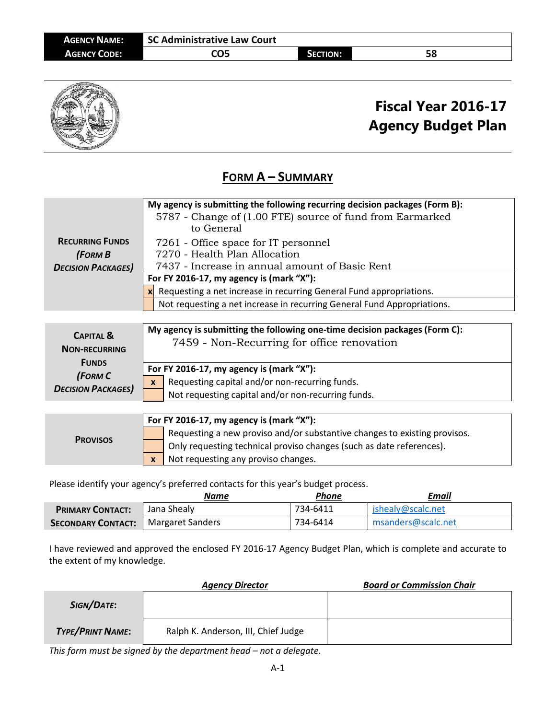| <b>AGENCY NAME:</b> | SC Administrative Law Court |                 |    |
|---------------------|-----------------------------|-----------------|----|
| <b>AGENCY CODE:</b> | CO5                         | <b>SECTION:</b> | 58 |



# **Fiscal Year 2016-17 Agency Budget Plan**

#### **FORM A – SUMMARY**

| <b>RECURRING FUNDS</b><br>(FORM B<br><b>DECISION PACKAGES)</b>                                       | My agency is submitting the following recurring decision packages (Form B):<br>5787 - Change of (1.00 FTE) source of fund from Earmarked<br>to General<br>7261 - Office space for IT personnel<br>7270 - Health Plan Allocation<br>7437 - Increase in annual amount of Basic Rent<br>For FY 2016-17, my agency is (mark "X"):<br>Requesting a net increase in recurring General Fund appropriations.<br>Not requesting a net increase in recurring General Fund Appropriations. |
|------------------------------------------------------------------------------------------------------|---------------------------------------------------------------------------------------------------------------------------------------------------------------------------------------------------------------------------------------------------------------------------------------------------------------------------------------------------------------------------------------------------------------------------------------------------------------------------------|
| <b>CAPITAL &amp;</b><br><b>NON-RECURRING</b><br><b>FUNDS</b><br>(FORM C<br><b>DECISION PACKAGES)</b> | My agency is submitting the following one-time decision packages (Form C):<br>7459 - Non-Recurring for office renovation<br>For FY 2016-17, my agency is (mark "X"):<br>Requesting capital and/or non-recurring funds.<br>$\mathbf{x}$<br>Not requesting capital and/or non-recurring funds.                                                                                                                                                                                    |

|                 | For FY 2016-17, my agency is (mark " $X$ "): |                                                                           |  |
|-----------------|----------------------------------------------|---------------------------------------------------------------------------|--|
| <b>PROVISOS</b> |                                              | Requesting a new proviso and/or substantive changes to existing provisos. |  |
|                 |                                              | Only requesting technical proviso changes (such as date references).      |  |
|                 | $\mathbf{x}$                                 | Not requesting any proviso changes.                                       |  |

Please identify your agency's preferred contacts for this year's budget process.

|                                            | Name        | Phone    | Email              |
|--------------------------------------------|-------------|----------|--------------------|
| <b>PRIMARY CONTACT:</b>                    | Jana Shealy | 734-6411 | jshealy@scalc.net  |
| <b>SECONDARY CONTACT:</b> Margaret Sanders |             | 734-6414 | msanders@scalc.net |

I have reviewed and approved the enclosed FY 2016-17 Agency Budget Plan, which is complete and accurate to the extent of my knowledge.

|                         | <b>Agency Director</b>              | <b>Board or Commission Chair</b> |
|-------------------------|-------------------------------------|----------------------------------|
| SIGN/DATE:              |                                     |                                  |
| <b>TYPE/PRINT NAME:</b> | Ralph K. Anderson, III, Chief Judge |                                  |

*This form must be signed by the department head – not a delegate.*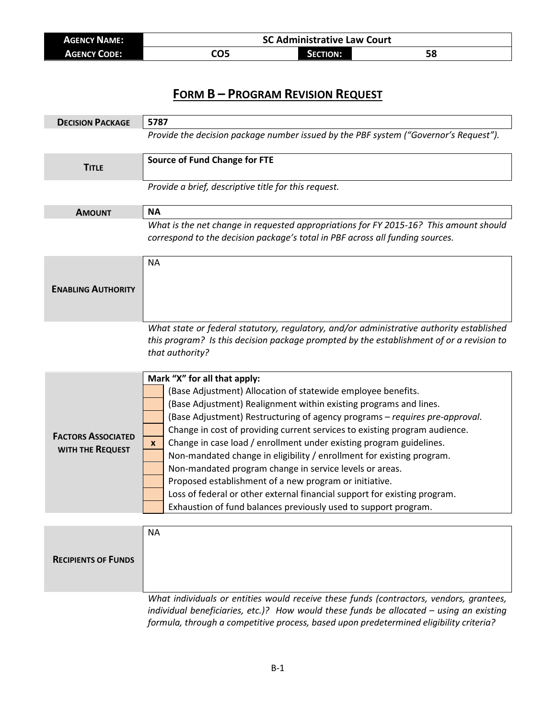| <b>AGENCY NAME:</b> | <b>SC Administrative Law Court</b> |                 |    |
|---------------------|------------------------------------|-----------------|----|
| <b>AGENCY CODE:</b> | CO5                                | <b>SECTION:</b> | ЭС |

| Provide the decision package number issued by the PBF system ("Governor's Request").<br><b>Source of Fund Change for FTE</b><br><b>TITLE</b><br>Provide a brief, descriptive title for this request.<br><b>NA</b><br><b>AMOUNT</b><br>correspond to the decision package's total in PBF across all funding sources.<br><b>NA</b><br><b>ENABLING AUTHORITY</b><br>that authority?<br>Mark "X" for all that apply:<br>(Base Adjustment) Allocation of statewide employee benefits.<br>(Base Adjustment) Realignment within existing programs and lines.<br>(Base Adjustment) Restructuring of agency programs - requires pre-approval.<br>Change in cost of providing current services to existing program audience.<br><b>FACTORS ASSOCIATED</b><br>Change in case load / enrollment under existing program guidelines.<br>X<br>WITH THE REQUEST<br>Non-mandated change in eligibility / enrollment for existing program.<br>Non-mandated program change in service levels or areas.<br>Proposed establishment of a new program or initiative.<br>Loss of federal or other external financial support for existing program.<br>Exhaustion of fund balances previously used to support program.<br><b>NA</b><br><b>RECIPIENTS OF FUNDS</b> | <b>DECISION PACKAGE</b> | 5787                                                                                                                                                                                 |  |  |
|------------------------------------------------------------------------------------------------------------------------------------------------------------------------------------------------------------------------------------------------------------------------------------------------------------------------------------------------------------------------------------------------------------------------------------------------------------------------------------------------------------------------------------------------------------------------------------------------------------------------------------------------------------------------------------------------------------------------------------------------------------------------------------------------------------------------------------------------------------------------------------------------------------------------------------------------------------------------------------------------------------------------------------------------------------------------------------------------------------------------------------------------------------------------------------------------------------------------------------------|-------------------------|--------------------------------------------------------------------------------------------------------------------------------------------------------------------------------------|--|--|
|                                                                                                                                                                                                                                                                                                                                                                                                                                                                                                                                                                                                                                                                                                                                                                                                                                                                                                                                                                                                                                                                                                                                                                                                                                          |                         |                                                                                                                                                                                      |  |  |
|                                                                                                                                                                                                                                                                                                                                                                                                                                                                                                                                                                                                                                                                                                                                                                                                                                                                                                                                                                                                                                                                                                                                                                                                                                          |                         |                                                                                                                                                                                      |  |  |
|                                                                                                                                                                                                                                                                                                                                                                                                                                                                                                                                                                                                                                                                                                                                                                                                                                                                                                                                                                                                                                                                                                                                                                                                                                          |                         |                                                                                                                                                                                      |  |  |
|                                                                                                                                                                                                                                                                                                                                                                                                                                                                                                                                                                                                                                                                                                                                                                                                                                                                                                                                                                                                                                                                                                                                                                                                                                          |                         |                                                                                                                                                                                      |  |  |
|                                                                                                                                                                                                                                                                                                                                                                                                                                                                                                                                                                                                                                                                                                                                                                                                                                                                                                                                                                                                                                                                                                                                                                                                                                          |                         | What is the net change in requested appropriations for FY 2015-16? This amount should                                                                                                |  |  |
|                                                                                                                                                                                                                                                                                                                                                                                                                                                                                                                                                                                                                                                                                                                                                                                                                                                                                                                                                                                                                                                                                                                                                                                                                                          |                         |                                                                                                                                                                                      |  |  |
|                                                                                                                                                                                                                                                                                                                                                                                                                                                                                                                                                                                                                                                                                                                                                                                                                                                                                                                                                                                                                                                                                                                                                                                                                                          |                         | What state or federal statutory, regulatory, and/or administrative authority established<br>this program? Is this decision package prompted by the establishment of or a revision to |  |  |
|                                                                                                                                                                                                                                                                                                                                                                                                                                                                                                                                                                                                                                                                                                                                                                                                                                                                                                                                                                                                                                                                                                                                                                                                                                          |                         |                                                                                                                                                                                      |  |  |
|                                                                                                                                                                                                                                                                                                                                                                                                                                                                                                                                                                                                                                                                                                                                                                                                                                                                                                                                                                                                                                                                                                                                                                                                                                          |                         |                                                                                                                                                                                      |  |  |
|                                                                                                                                                                                                                                                                                                                                                                                                                                                                                                                                                                                                                                                                                                                                                                                                                                                                                                                                                                                                                                                                                                                                                                                                                                          |                         | What individuals or entities would receive these funds (contractors, vendors, grantees,                                                                                              |  |  |

*individual beneficiaries, etc.)? How would these funds be allocated – using an existing formula, through a competitive process, based upon predetermined eligibility criteria?*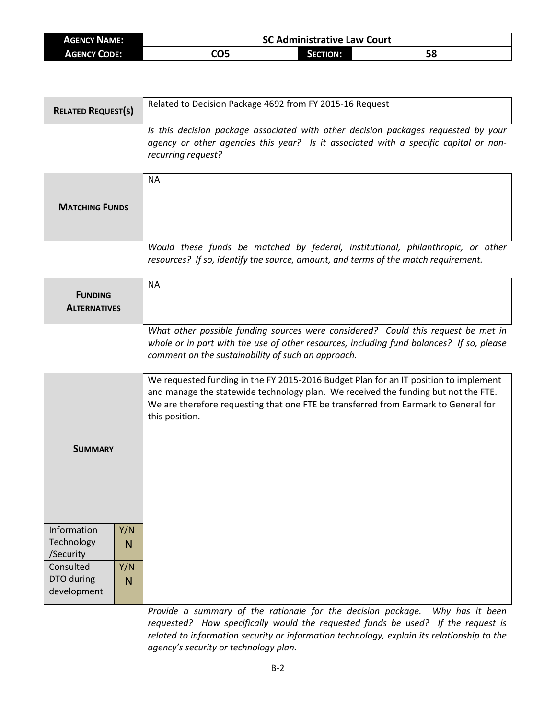| <b>AGENCY NAME:</b> | <b>SC Administrative Law Court</b> |                 |    |  |
|---------------------|------------------------------------|-----------------|----|--|
| AGENCY CODE:        | CO5                                | <b>SECTION:</b> | 58 |  |

| <b>RELATED REQUEST(S)</b>              |          | Related to Decision Package 4692 from FY 2015-16 Request                                                                                                                                                                                                                            |
|----------------------------------------|----------|-------------------------------------------------------------------------------------------------------------------------------------------------------------------------------------------------------------------------------------------------------------------------------------|
|                                        |          | Is this decision package associated with other decision packages requested by your<br>agency or other agencies this year? Is it associated with a specific capital or non-<br>recurring request?                                                                                    |
|                                        |          | <b>NA</b>                                                                                                                                                                                                                                                                           |
| <b>MATCHING FUNDS</b>                  |          |                                                                                                                                                                                                                                                                                     |
|                                        |          | Would these funds be matched by federal, institutional, philanthropic, or other<br>resources? If so, identify the source, amount, and terms of the match requirement.                                                                                                               |
| <b>FUNDING</b><br><b>ALTERNATIVES</b>  |          | <b>NA</b>                                                                                                                                                                                                                                                                           |
|                                        |          | What other possible funding sources were considered? Could this request be met in<br>whole or in part with the use of other resources, including fund balances? If so, please<br>comment on the sustainability of such an approach.                                                 |
|                                        |          | We requested funding in the FY 2015-2016 Budget Plan for an IT position to implement<br>and manage the statewide technology plan. We received the funding but not the FTE.<br>We are therefore requesting that one FTE be transferred from Earmark to General for<br>this position. |
| <b>SUMMARY</b>                         |          |                                                                                                                                                                                                                                                                                     |
| Information<br>Technology<br>/Security | Y/N<br>N |                                                                                                                                                                                                                                                                                     |
| Consulted<br>DTO during<br>development | Y/N<br>N |                                                                                                                                                                                                                                                                                     |

*Provide a summary of the rationale for the decision package. Why has it been requested? How specifically would the requested funds be used? If the request is related to information security or information technology, explain its relationship to the agency's security or technology plan.*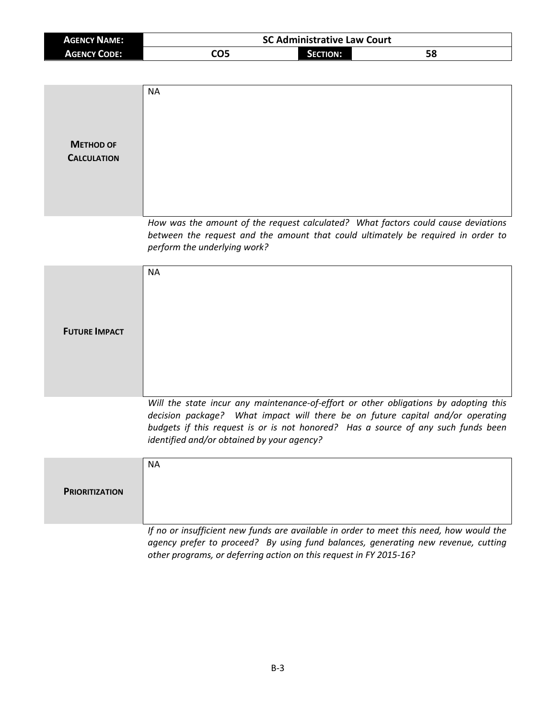| <b>AGENCY NAME:</b> | <b>SC Administrative Law Court</b> |                 |    |  |
|---------------------|------------------------------------|-----------------|----|--|
| <b>AGENCY CODE:</b> | CO5                                | <b>SECTION:</b> | 58 |  |

| <b>METHOD OF</b><br><b>CALCULATION</b> | <b>NA</b>                                                                                                                                                                                                                                                                                                 |
|----------------------------------------|-----------------------------------------------------------------------------------------------------------------------------------------------------------------------------------------------------------------------------------------------------------------------------------------------------------|
|                                        | How was the amount of the request calculated? What factors could cause deviations<br>between the request and the amount that could ultimately be required in order to<br>perform the underlying work?                                                                                                     |
| <b>FUTURE IMPACT</b>                   | <b>NA</b>                                                                                                                                                                                                                                                                                                 |
|                                        | Will the state incur any maintenance-of-effort or other obligations by adopting this<br>decision package? What impact will there be on future capital and/or operating<br>budgets if this request is or is not honored? Has a source of any such funds been<br>identified and/or obtained by your agency? |
| <b>PRIORITIZATION</b>                  | <b>NA</b>                                                                                                                                                                                                                                                                                                 |

*If no or insufficient new funds are available in order to meet this need, how would the agency prefer to proceed? By using fund balances, generating new revenue, cutting other programs, or deferring action on this request in FY 2015-16?*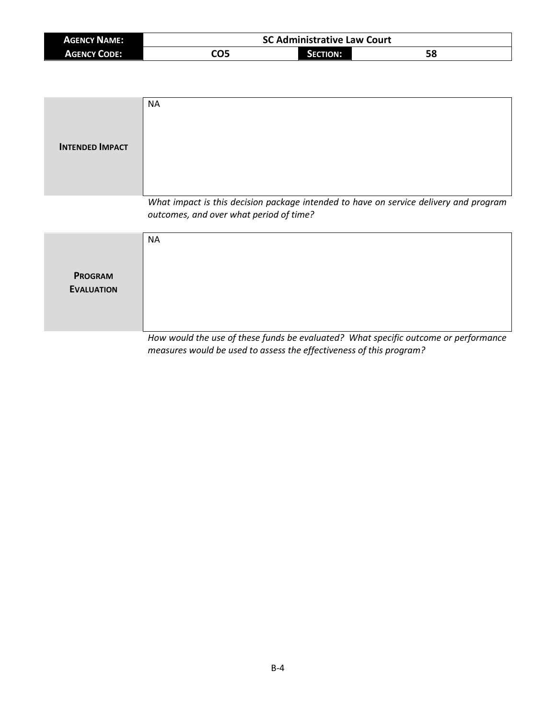| <b>AGENCY NAME:</b> | <b>SC Administrative Law Court</b> |          |    |
|---------------------|------------------------------------|----------|----|
| <b>AGENCY CODE:</b> | חר.                                | SECTION: | JO |

| <b>INTENDED IMPACT</b>              | <b>NA</b>                                                                                                                        |
|-------------------------------------|----------------------------------------------------------------------------------------------------------------------------------|
|                                     | What impact is this decision package intended to have on service delivery and program<br>outcomes, and over what period of time? |
| <b>PROGRAM</b><br><b>EVALUATION</b> | <b>NA</b>                                                                                                                        |

*How would the use of these funds be evaluated? What specific outcome or performance measures would be used to assess the effectiveness of this program?*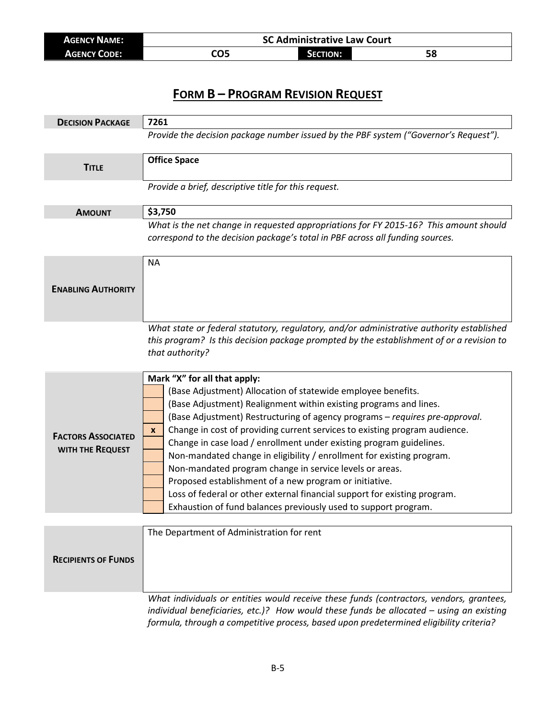| <b>AGENCY NAME:</b> | <b>SC Administrative Law Court</b> |                 |    |
|---------------------|------------------------------------|-----------------|----|
| <b>AGENCY CODE:</b> | CO5                                | <b>SECTION:</b> | ЭС |

| <b>DECISION PACKAGE</b>                       | 7261                                                                                                                                                                                                                                                                                                                                                                                                                                                                                                                                                                                                                                                                                                                                                     |  |  |  |
|-----------------------------------------------|----------------------------------------------------------------------------------------------------------------------------------------------------------------------------------------------------------------------------------------------------------------------------------------------------------------------------------------------------------------------------------------------------------------------------------------------------------------------------------------------------------------------------------------------------------------------------------------------------------------------------------------------------------------------------------------------------------------------------------------------------------|--|--|--|
|                                               | Provide the decision package number issued by the PBF system ("Governor's Request").                                                                                                                                                                                                                                                                                                                                                                                                                                                                                                                                                                                                                                                                     |  |  |  |
| <b>TITLE</b>                                  | <b>Office Space</b>                                                                                                                                                                                                                                                                                                                                                                                                                                                                                                                                                                                                                                                                                                                                      |  |  |  |
|                                               | Provide a brief, descriptive title for this request.                                                                                                                                                                                                                                                                                                                                                                                                                                                                                                                                                                                                                                                                                                     |  |  |  |
| <b>AMOUNT</b>                                 | \$3,750                                                                                                                                                                                                                                                                                                                                                                                                                                                                                                                                                                                                                                                                                                                                                  |  |  |  |
|                                               | What is the net change in requested appropriations for FY 2015-16? This amount should<br>correspond to the decision package's total in PBF across all funding sources.                                                                                                                                                                                                                                                                                                                                                                                                                                                                                                                                                                                   |  |  |  |
| <b>ENABLING AUTHORITY</b>                     | <b>NA</b>                                                                                                                                                                                                                                                                                                                                                                                                                                                                                                                                                                                                                                                                                                                                                |  |  |  |
|                                               | What state or federal statutory, regulatory, and/or administrative authority established<br>this program? Is this decision package prompted by the establishment of or a revision to<br>that authority?                                                                                                                                                                                                                                                                                                                                                                                                                                                                                                                                                  |  |  |  |
| <b>FACTORS ASSOCIATED</b><br>WITH THE REQUEST | Mark "X" for all that apply:<br>(Base Adjustment) Allocation of statewide employee benefits.<br>(Base Adjustment) Realignment within existing programs and lines.<br>(Base Adjustment) Restructuring of agency programs - requires pre-approval.<br>Change in cost of providing current services to existing program audience.<br>X<br>Change in case load / enrollment under existing program guidelines.<br>Non-mandated change in eligibility / enrollment for existing program.<br>Non-mandated program change in service levels or areas.<br>Proposed establishment of a new program or initiative.<br>Loss of federal or other external financial support for existing program.<br>Exhaustion of fund balances previously used to support program. |  |  |  |
|                                               |                                                                                                                                                                                                                                                                                                                                                                                                                                                                                                                                                                                                                                                                                                                                                          |  |  |  |
| <b>RECIPIENTS OF FUNDS</b>                    | The Department of Administration for rent                                                                                                                                                                                                                                                                                                                                                                                                                                                                                                                                                                                                                                                                                                                |  |  |  |
|                                               | What individuals or entities would receive these funds (contractors, vendors, grantees,                                                                                                                                                                                                                                                                                                                                                                                                                                                                                                                                                                                                                                                                  |  |  |  |

*individual beneficiaries, etc.)? How would these funds be allocated – using an existing formula, through a competitive process, based upon predetermined eligibility criteria?*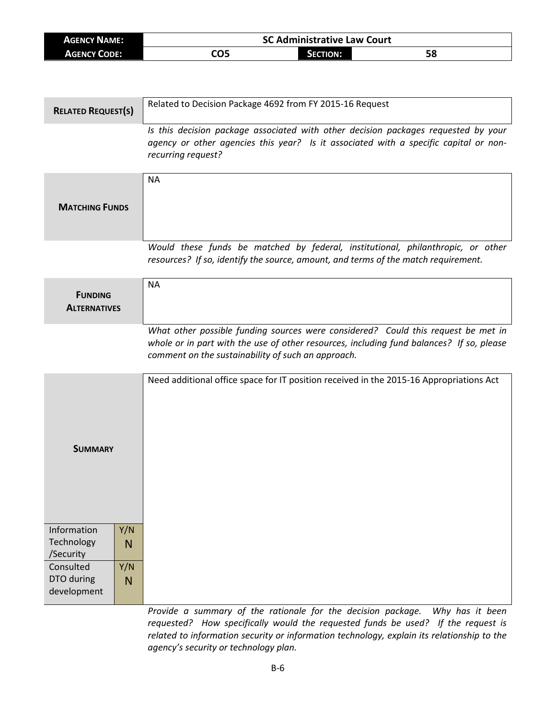| <b>AGENCY NAME:</b> | <b>SC Administrative Law Court</b> |                 |    |  |
|---------------------|------------------------------------|-----------------|----|--|
| AGENCY CODE:        | CO5                                | <b>SECTION:</b> | 58 |  |

| <b>RELATED REQUEST(S)</b>                                                        |                      | Related to Decision Package 4692 from FY 2015-16 Request                                                                                                                                                                            |
|----------------------------------------------------------------------------------|----------------------|-------------------------------------------------------------------------------------------------------------------------------------------------------------------------------------------------------------------------------------|
|                                                                                  |                      | Is this decision package associated with other decision packages requested by your<br>agency or other agencies this year? Is it associated with a specific capital or non-<br>recurring request?                                    |
| <b>MATCHING FUNDS</b>                                                            |                      | <b>NA</b>                                                                                                                                                                                                                           |
|                                                                                  |                      |                                                                                                                                                                                                                                     |
|                                                                                  |                      | Would these funds be matched by federal, institutional, philanthropic, or other<br>resources? If so, identify the source, amount, and terms of the match requirement.                                                               |
| <b>FUNDING</b><br><b>ALTERNATIVES</b>                                            |                      | <b>NA</b>                                                                                                                                                                                                                           |
|                                                                                  |                      | What other possible funding sources were considered? Could this request be met in<br>whole or in part with the use of other resources, including fund balances? If so, please<br>comment on the sustainability of such an approach. |
| <b>SUMMARY</b>                                                                   |                      | Need additional office space for IT position received in the 2015-16 Appropriations Act                                                                                                                                             |
| Information<br>Technology<br>/Security<br>Consulted<br>DTO during<br>development | Y/N<br>N<br>Y/N<br>N |                                                                                                                                                                                                                                     |
|                                                                                  |                      |                                                                                                                                                                                                                                     |

*Provide a summary of the rationale for the decision package. Why has it been requested? How specifically would the requested funds be used? If the request is related to information security or information technology, explain its relationship to the agency's security or technology plan.*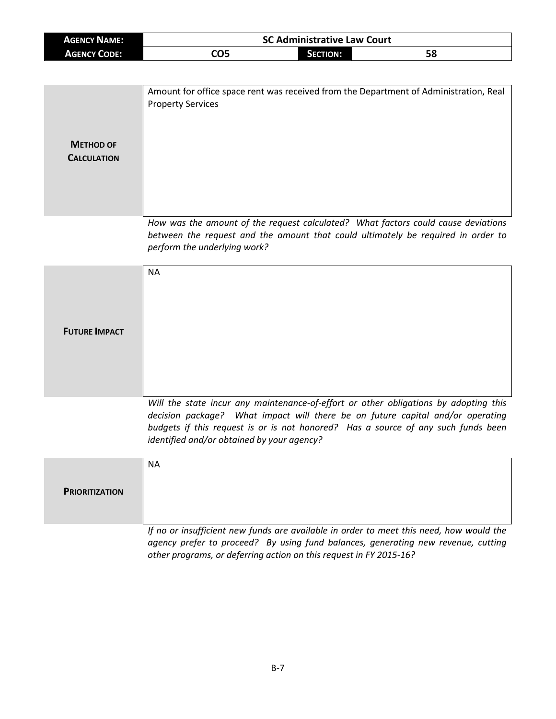| <b>AGENCY NAME:</b> | <b>SC Administrative Law Court</b> |          |    |  |
|---------------------|------------------------------------|----------|----|--|
| AGENCY CODE:        | CO5                                | SECTION: | 58 |  |

| <b>METHOD OF</b><br><b>CALCULATION</b> | Amount for office space rent was received from the Department of Administration, Real<br><b>Property Services</b>                                                                                     |
|----------------------------------------|-------------------------------------------------------------------------------------------------------------------------------------------------------------------------------------------------------|
|                                        | How was the amount of the request calculated? What factors could cause deviations<br>between the request and the amount that could ultimately be required in order to<br>perform the underlying work? |

|                      | <b>NA</b>                                                                            |
|----------------------|--------------------------------------------------------------------------------------|
|                      |                                                                                      |
|                      |                                                                                      |
| <b>FUTURE IMPACT</b> |                                                                                      |
|                      |                                                                                      |
|                      |                                                                                      |
|                      |                                                                                      |
|                      | Will the state incur any maintenance-of-effort or other obligations by adonting this |

*Will the state incur any maintenance-of-effort or other obligations by adopting this decision package? What impact will there be on future capital and/or operating budgets if this request is or is not honored? Has a source of any such funds been identified and/or obtained by your agency?*

|                       | NA.                                                                                     |
|-----------------------|-----------------------------------------------------------------------------------------|
| <b>PRIORITIZATION</b> |                                                                                         |
|                       |                                                                                         |
|                       | If no or insufficient new funds are available in order to meet this need, how would the |

If no or insufficient new funds are available in order to meet this need, how would the *agency prefer to proceed? By using fund balances, generating new revenue, cutting other programs, or deferring action on this request in FY 2015-16?*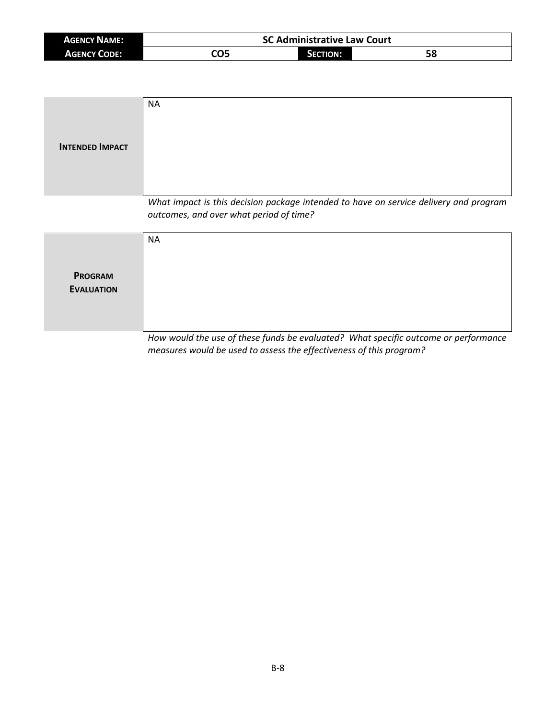| <b>AGENCY NAME:</b> | <b>SC Administrative Law Court</b> |          |    |
|---------------------|------------------------------------|----------|----|
| <b>AGENCY CODE:</b> | CO5                                | SECTION: | 58 |

| <b>INTENDED IMPACT</b>              | <b>NA</b>                                                                                                                        |
|-------------------------------------|----------------------------------------------------------------------------------------------------------------------------------|
|                                     | What impact is this decision package intended to have on service delivery and program<br>outcomes, and over what period of time? |
| <b>PROGRAM</b><br><b>EVALUATION</b> | <b>NA</b>                                                                                                                        |

*How would the use of these funds be evaluated? What specific outcome or performance measures would be used to assess the effectiveness of this program?*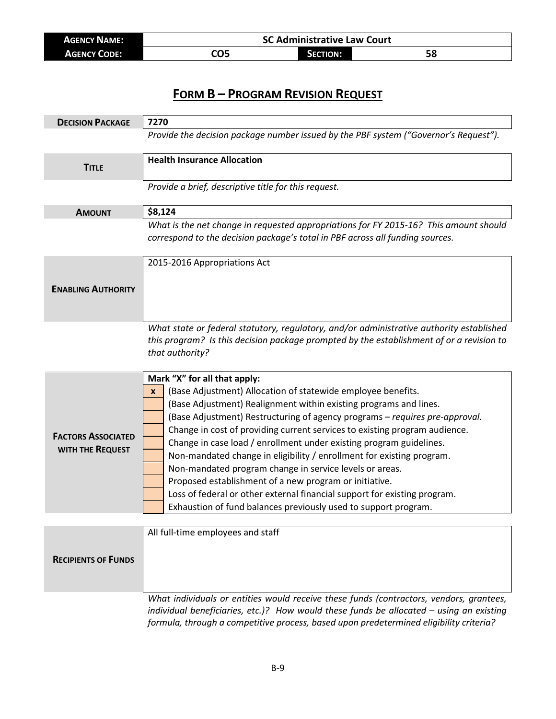| <b>AGENCY NAME:</b> | <b>SC Administrative Law Court</b> |                 |  |
|---------------------|------------------------------------|-----------------|--|
| <b>AGENCY CODE:</b> | CO5                                | <b>SECTION:</b> |  |

| <b>DECISION PACKAGE</b>                              | 7270                                                                                                                                                                                                                                                                                                                                                                                                                                                                                                                                                                                                                                                                                                                                                                |
|------------------------------------------------------|---------------------------------------------------------------------------------------------------------------------------------------------------------------------------------------------------------------------------------------------------------------------------------------------------------------------------------------------------------------------------------------------------------------------------------------------------------------------------------------------------------------------------------------------------------------------------------------------------------------------------------------------------------------------------------------------------------------------------------------------------------------------|
|                                                      | Provide the decision package number issued by the PBF system ("Governor's Request").                                                                                                                                                                                                                                                                                                                                                                                                                                                                                                                                                                                                                                                                                |
| <b>TITLE</b>                                         | <b>Health Insurance Allocation</b>                                                                                                                                                                                                                                                                                                                                                                                                                                                                                                                                                                                                                                                                                                                                  |
|                                                      | Provide a brief, descriptive title for this request.                                                                                                                                                                                                                                                                                                                                                                                                                                                                                                                                                                                                                                                                                                                |
| <b>AMOUNT</b>                                        | \$8,124                                                                                                                                                                                                                                                                                                                                                                                                                                                                                                                                                                                                                                                                                                                                                             |
|                                                      | What is the net change in requested appropriations for FY 2015-16? This amount should<br>correspond to the decision package's total in PBF across all funding sources.                                                                                                                                                                                                                                                                                                                                                                                                                                                                                                                                                                                              |
| <b>ENABLING AUTHORITY</b>                            | 2015-2016 Appropriations Act                                                                                                                                                                                                                                                                                                                                                                                                                                                                                                                                                                                                                                                                                                                                        |
|                                                      | What state or federal statutory, regulatory, and/or administrative authority established<br>this program? Is this decision package prompted by the establishment of or a revision to<br>that authority?                                                                                                                                                                                                                                                                                                                                                                                                                                                                                                                                                             |
| <b>FACTORS ASSOCIATED</b><br><b>WITH THE REQUEST</b> | Mark "X" for all that apply:<br>(Base Adjustment) Allocation of statewide employee benefits.<br>$\mathbf{x}$<br>(Base Adjustment) Realignment within existing programs and lines.<br>(Base Adjustment) Restructuring of agency programs - requires pre-approval.<br>Change in cost of providing current services to existing program audience.<br>Change in case load / enrollment under existing program guidelines.<br>Non-mandated change in eligibility / enrollment for existing program.<br>Non-mandated program change in service levels or areas.<br>Proposed establishment of a new program or initiative.<br>Loss of federal or other external financial support for existing program.<br>Exhaustion of fund balances previously used to support program. |
|                                                      |                                                                                                                                                                                                                                                                                                                                                                                                                                                                                                                                                                                                                                                                                                                                                                     |
| <b>RECIPIENTS OF FUNDS</b>                           | All full-time employees and staff                                                                                                                                                                                                                                                                                                                                                                                                                                                                                                                                                                                                                                                                                                                                   |

*What individuals or entities would receive these funds (contractors, vendors, grantees, individual beneficiaries, etc.)? How would these funds be allocated – using an existing formula, through a competitive process, based upon predetermined eligibility criteria?*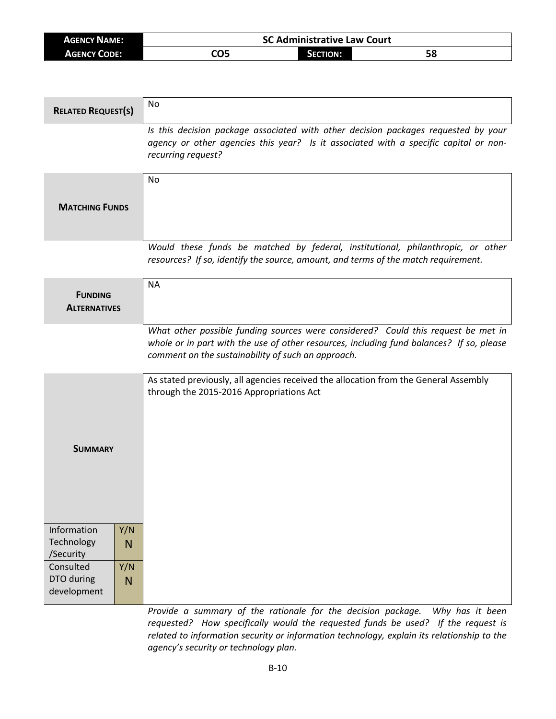| <b>AGENCY NAME:</b> | <b>SC Administrative Law Court</b> |          |    |  |
|---------------------|------------------------------------|----------|----|--|
| <b>AGENCY CODE:</b> | CO5                                | Section: | Эс |  |

| <b>RELATED REQUEST(S)</b>                                                                                | <b>No</b>                                                                                                                                                                                                                           |
|----------------------------------------------------------------------------------------------------------|-------------------------------------------------------------------------------------------------------------------------------------------------------------------------------------------------------------------------------------|
|                                                                                                          | Is this decision package associated with other decision packages requested by your<br>agency or other agencies this year? Is it associated with a specific capital or non-<br>recurring request?                                    |
| <b>MATCHING FUNDS</b>                                                                                    | No                                                                                                                                                                                                                                  |
|                                                                                                          | Would these funds be matched by federal, institutional, philanthropic, or other<br>resources? If so, identify the source, amount, and terms of the match requirement.                                                               |
| <b>FUNDING</b><br><b>ALTERNATIVES</b>                                                                    | <b>NA</b>                                                                                                                                                                                                                           |
|                                                                                                          | What other possible funding sources were considered? Could this request be met in<br>whole or in part with the use of other resources, including fund balances? If so, please<br>comment on the sustainability of such an approach. |
| <b>SUMMARY</b>                                                                                           | As stated previously, all agencies received the allocation from the General Assembly<br>through the 2015-2016 Appropriations Act                                                                                                    |
| Information<br>Y/N<br>Technology<br>N<br>/Security<br>Consulted<br>Y/N<br>DTO during<br>N<br>development |                                                                                                                                                                                                                                     |

*Provide a summary of the rationale for the decision package. Why has it been requested? How specifically would the requested funds be used? If the request is related to information security or information technology, explain its relationship to the agency's security or technology plan.*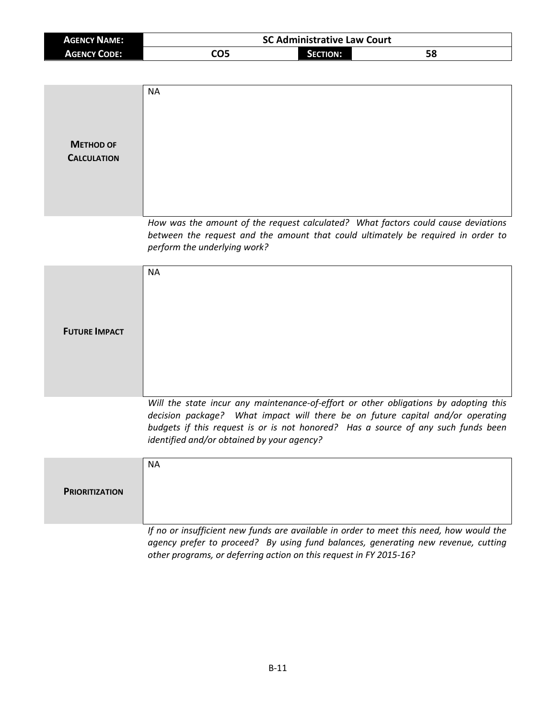| <b>AGENCY NAME:</b> |     | <b>SC Administrative Law Court</b> |    |  |
|---------------------|-----|------------------------------------|----|--|
| <b>AGENCY CODE:</b> | CO5 | <b>SECTION:</b>                    | 58 |  |

| <b>METHOD OF</b><br><b>CALCULATION</b> | <b>NA</b>                                                                                                                                                                                                                                                                                                 |
|----------------------------------------|-----------------------------------------------------------------------------------------------------------------------------------------------------------------------------------------------------------------------------------------------------------------------------------------------------------|
|                                        | How was the amount of the request calculated? What factors could cause deviations<br>between the request and the amount that could ultimately be required in order to<br>perform the underlying work?                                                                                                     |
| <b>FUTURE IMPACT</b>                   | <b>NA</b>                                                                                                                                                                                                                                                                                                 |
|                                        | Will the state incur any maintenance-of-effort or other obligations by adopting this<br>decision package? What impact will there be on future capital and/or operating<br>budgets if this request is or is not honored? Has a source of any such funds been<br>identified and/or obtained by your agency? |
| <b>PRIORITIZATION</b>                  | <b>NA</b>                                                                                                                                                                                                                                                                                                 |

*If no or insufficient new funds are available in order to meet this need, how would the agency prefer to proceed? By using fund balances, generating new revenue, cutting other programs, or deferring action on this request in FY 2015-16?*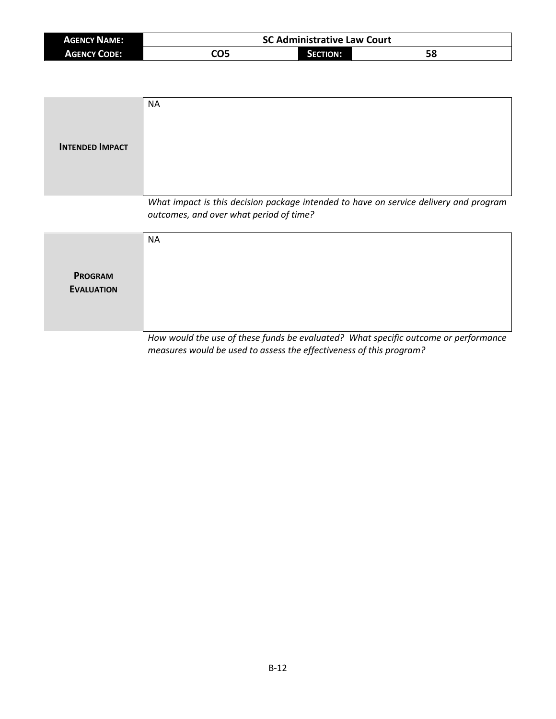| <b>AGENCY NAME:</b> |     | <b>SC Administrative Law Court</b> |    |
|---------------------|-----|------------------------------------|----|
| <b>AGENCY CODE:</b> | CO5 | SECTION:                           | 58 |

| <b>INTENDED IMPACT</b>              | <b>NA</b>                                                                                                                        |
|-------------------------------------|----------------------------------------------------------------------------------------------------------------------------------|
|                                     | What impact is this decision package intended to have on service delivery and program<br>outcomes, and over what period of time? |
| <b>PROGRAM</b><br><b>EVALUATION</b> | <b>NA</b>                                                                                                                        |

*How would the use of these funds be evaluated? What specific outcome or performance measures would be used to assess the effectiveness of this program?*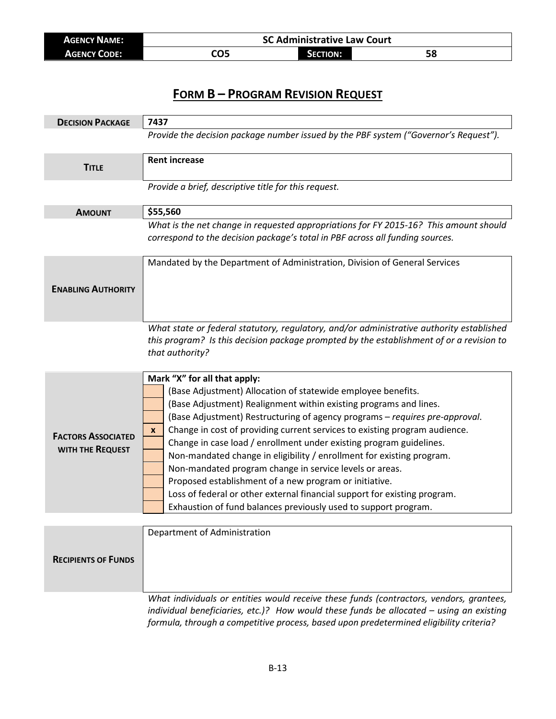| <b>AGENCY NAME:</b> | <b>SC Administrative Law Court</b> |                 |    |
|---------------------|------------------------------------|-----------------|----|
| <b>AGENCY CODE:</b> | CO5                                | <b>SECTION:</b> | 58 |

| <b>DECISION PACKAGE</b>    | 7437                                                                                                                                                                                                    |
|----------------------------|---------------------------------------------------------------------------------------------------------------------------------------------------------------------------------------------------------|
|                            | Provide the decision package number issued by the PBF system ("Governor's Request").                                                                                                                    |
| <b>TITLE</b>               | <b>Rent increase</b>                                                                                                                                                                                    |
|                            | Provide a brief, descriptive title for this request.                                                                                                                                                    |
|                            |                                                                                                                                                                                                         |
| <b>AMOUNT</b>              | \$55,560                                                                                                                                                                                                |
|                            | What is the net change in requested appropriations for FY 2015-16? This amount should<br>correspond to the decision package's total in PBF across all funding sources.                                  |
|                            | Mandated by the Department of Administration, Division of General Services                                                                                                                              |
|                            |                                                                                                                                                                                                         |
| <b>ENABLING AUTHORITY</b>  |                                                                                                                                                                                                         |
|                            |                                                                                                                                                                                                         |
|                            | What state or federal statutory, regulatory, and/or administrative authority established<br>this program? Is this decision package prompted by the establishment of or a revision to<br>that authority? |
|                            | Mark "X" for all that apply:                                                                                                                                                                            |
|                            | (Base Adjustment) Allocation of statewide employee benefits.                                                                                                                                            |
|                            | (Base Adjustment) Realignment within existing programs and lines.                                                                                                                                       |
|                            | (Base Adjustment) Restructuring of agency programs - requires pre-approval.                                                                                                                             |
| <b>FACTORS ASSOCIATED</b>  | Change in cost of providing current services to existing program audience.<br>X                                                                                                                         |
|                            | Change in case load / enrollment under existing program guidelines.                                                                                                                                     |
| WITH THE REQUEST           | Non-mandated change in eligibility / enrollment for existing program.                                                                                                                                   |
|                            | Non-mandated program change in service levels or areas.                                                                                                                                                 |
|                            | Proposed establishment of a new program or initiative.                                                                                                                                                  |
|                            | Loss of federal or other external financial support for existing program.                                                                                                                               |
|                            | Exhaustion of fund balances previously used to support program.                                                                                                                                         |
|                            |                                                                                                                                                                                                         |
|                            | Department of Administration                                                                                                                                                                            |
|                            |                                                                                                                                                                                                         |
| <b>RECIPIENTS OF FUNDS</b> |                                                                                                                                                                                                         |

*What individuals or entities would receive these funds (contractors, vendors, grantees, individual beneficiaries, etc.)? How would these funds be allocated – using an existing formula, through a competitive process, based upon predetermined eligibility criteria?*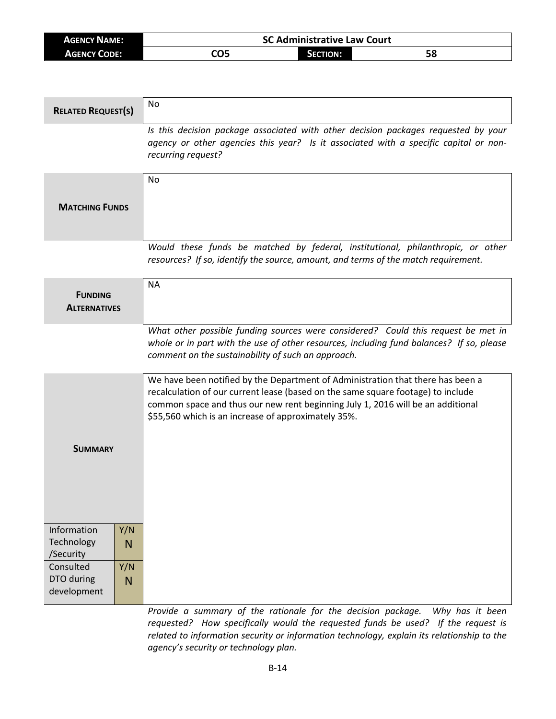| <b>AGENCY NAME:</b> | <b>SC Administrative Law Court</b> |                 |    |  |
|---------------------|------------------------------------|-----------------|----|--|
| <b>AGENCY CODE:</b> | CO5                                | <b>SECTION:</b> | Эс |  |

| <b>RELATED REQUEST(S)</b>              |          | No                                                                                                                                                                                                                                                                                                            |
|----------------------------------------|----------|---------------------------------------------------------------------------------------------------------------------------------------------------------------------------------------------------------------------------------------------------------------------------------------------------------------|
|                                        |          | Is this decision package associated with other decision packages requested by your<br>agency or other agencies this year? Is it associated with a specific capital or non-<br>recurring request?                                                                                                              |
| <b>MATCHING FUNDS</b>                  |          | <b>No</b>                                                                                                                                                                                                                                                                                                     |
|                                        |          | Would these funds be matched by federal, institutional, philanthropic, or other<br>resources? If so, identify the source, amount, and terms of the match requirement.                                                                                                                                         |
| <b>FUNDING</b><br><b>ALTERNATIVES</b>  |          | <b>NA</b>                                                                                                                                                                                                                                                                                                     |
|                                        |          | What other possible funding sources were considered? Could this request be met in<br>whole or in part with the use of other resources, including fund balances? If so, please<br>comment on the sustainability of such an approach.                                                                           |
| <b>SUMMARY</b>                         |          | We have been notified by the Department of Administration that there has been a<br>recalculation of our current lease (based on the same square footage) to include<br>common space and thus our new rent beginning July 1, 2016 will be an additional<br>\$55,560 which is an increase of approximately 35%. |
|                                        |          |                                                                                                                                                                                                                                                                                                               |
| Information<br>Technology<br>/Security | Y/N<br>N |                                                                                                                                                                                                                                                                                                               |
| Consulted<br>DTO during<br>development | Y/N<br>N |                                                                                                                                                                                                                                                                                                               |

*Provide a summary of the rationale for the decision package. Why has it been requested? How specifically would the requested funds be used? If the request is related to information security or information technology, explain its relationship to the agency's security or technology plan.*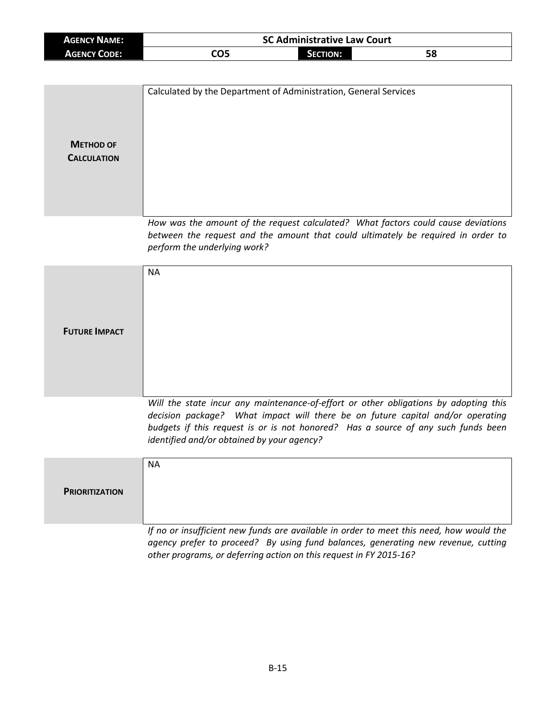| <b>AGENCY NAME:</b> |     | <b>SC Administrative Law Court</b> |    |  |
|---------------------|-----|------------------------------------|----|--|
| <b>AGENCY CODE:</b> | CO5 | <b>SECTION:</b>                    | 58 |  |

| <b>METHOD OF</b><br><b>CALCULATION</b> | Calculated by the Department of Administration, General Services                                                                                                                                      |
|----------------------------------------|-------------------------------------------------------------------------------------------------------------------------------------------------------------------------------------------------------|
|                                        | How was the amount of the request calculated? What factors could cause deviations<br>between the request and the amount that could ultimately be required in order to<br>perform the underlying work? |

|                      | <b>NA</b>                                                                            |
|----------------------|--------------------------------------------------------------------------------------|
|                      |                                                                                      |
|                      |                                                                                      |
| <b>FUTURE IMPACT</b> |                                                                                      |
|                      |                                                                                      |
|                      |                                                                                      |
|                      | Will the state incur any maintenance-of-effort or other obligations by adopting this |

*Will the state incur any maintenance-of-effort or other obligations by adopting this decision package? What impact will there be on future capital and/or operating budgets if this request is or is not honored? Has a source of any such funds been identified and/or obtained by your agency?*

|                       | <b>NA</b>                                                                               |
|-----------------------|-----------------------------------------------------------------------------------------|
| <b>PRIORITIZATION</b> |                                                                                         |
|                       |                                                                                         |
|                       | If no or insufficient new funds are available in order to meet this need, how would the |

If no or insufficient new funds are available in order to meet this need, how would the *agency prefer to proceed? By using fund balances, generating new revenue, cutting other programs, or deferring action on this request in FY 2015-16?*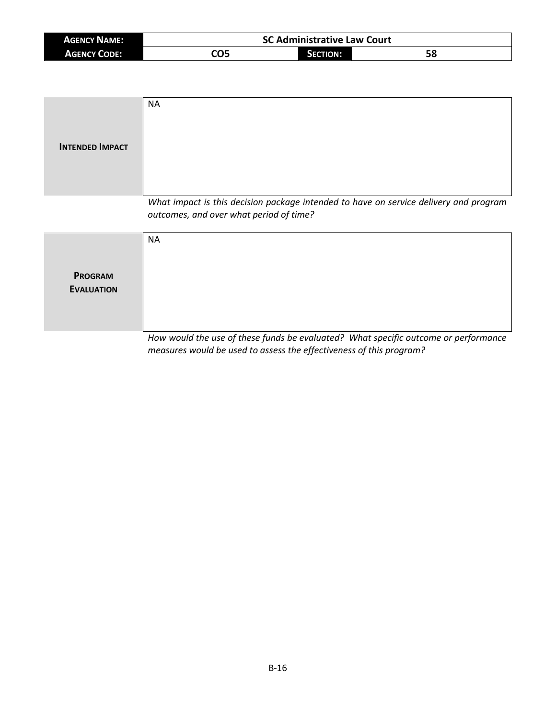| <b>AGENCY NAME:</b> | <b>SC Administrative Law Court</b> |          |    |
|---------------------|------------------------------------|----------|----|
| <b>AGENCY CODE:</b> | CO5                                | SECTION: | 58 |

| <b>INTENDED IMPACT</b>              | <b>NA</b>                                                                                                                        |
|-------------------------------------|----------------------------------------------------------------------------------------------------------------------------------|
|                                     | What impact is this decision package intended to have on service delivery and program<br>outcomes, and over what period of time? |
| <b>PROGRAM</b><br><b>EVALUATION</b> | <b>NA</b>                                                                                                                        |

*How would the use of these funds be evaluated? What specific outcome or performance measures would be used to assess the effectiveness of this program?*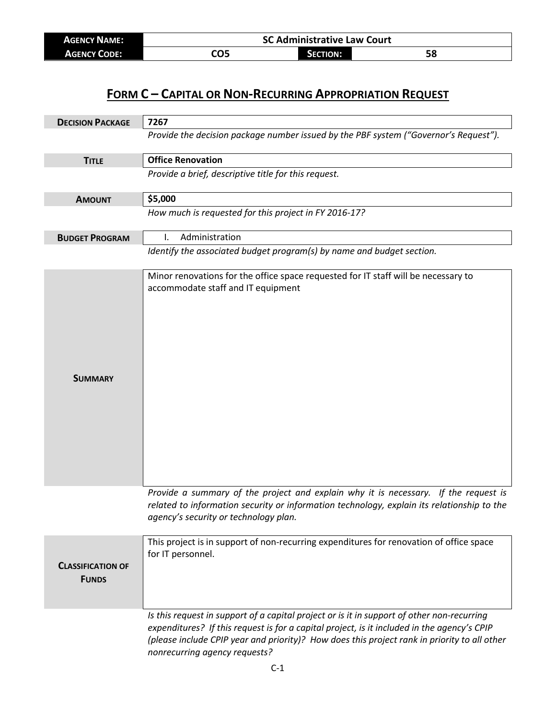| <b>AGENCY NAME:</b> | <b>SC Administrative Law Court</b> |                 |    |
|---------------------|------------------------------------|-----------------|----|
| <b>AGENCY CODE:</b> | CO5                                | <b>SECTION:</b> | JО |

## **FORM C – CAPITAL OR NON-RECURRING APPROPRIATION REQUEST**

| <b>DECISION PACKAGE</b>                  | 7267                                                                                                                                                                                                                                                                                                                       |
|------------------------------------------|----------------------------------------------------------------------------------------------------------------------------------------------------------------------------------------------------------------------------------------------------------------------------------------------------------------------------|
|                                          | Provide the decision package number issued by the PBF system ("Governor's Request").                                                                                                                                                                                                                                       |
| <b>TITLE</b>                             | <b>Office Renovation</b>                                                                                                                                                                                                                                                                                                   |
|                                          | Provide a brief, descriptive title for this request.                                                                                                                                                                                                                                                                       |
| <b>AMOUNT</b>                            | \$5,000                                                                                                                                                                                                                                                                                                                    |
|                                          | How much is requested for this project in FY 2016-17?                                                                                                                                                                                                                                                                      |
| <b>BUDGET PROGRAM</b>                    | Administration<br>I.                                                                                                                                                                                                                                                                                                       |
|                                          | Identify the associated budget program(s) by name and budget section.                                                                                                                                                                                                                                                      |
| <b>SUMMARY</b>                           | Minor renovations for the office space requested for IT staff will be necessary to<br>accommodate staff and IT equipment                                                                                                                                                                                                   |
|                                          | Provide a summary of the project and explain why it is necessary. If the request is<br>related to information security or information technology, explain its relationship to the<br>agency's security or technology plan.                                                                                                 |
| <b>CLASSIFICATION OF</b><br><b>FUNDS</b> | This project is in support of non-recurring expenditures for renovation of office space<br>for IT personnel.                                                                                                                                                                                                               |
|                                          | Is this request in support of a capital project or is it in support of other non-recurring<br>expenditures? If this request is for a capital project, is it included in the agency's CPIP<br>(please include CPIP year and priority)? How does this project rank in priority to all other<br>nonrecurring agency requests? |